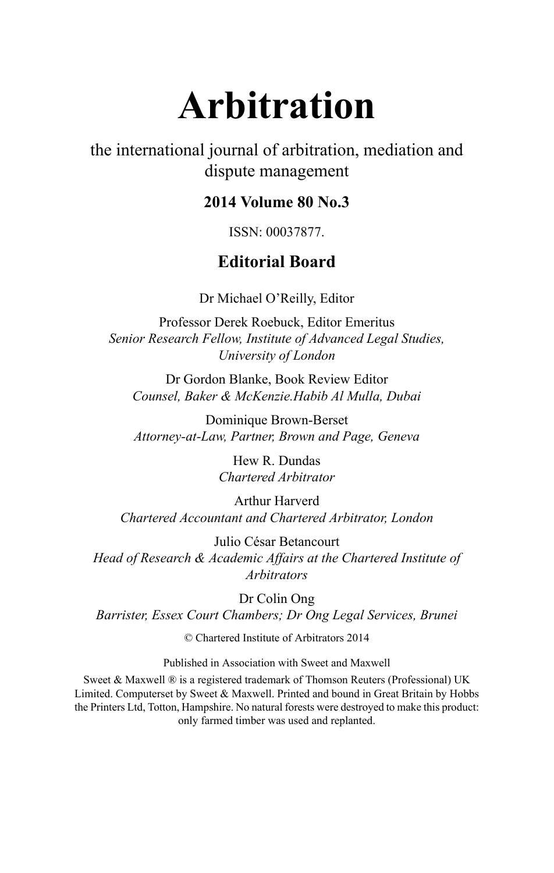# **Arbitration**

the international journal of arbitration, mediation and dispute management

## **2014 Volume 80 No.3**

ISSN: 00037877.

## **Editorial Board**

Dr Michael O'Reilly, Editor

Professor Derek Roebuck, Editor Emeritus *Senior Research Fellow, Institute of Advanced Legal Studies, University of London*

Dr Gordon Blanke, Book Review Editor *Counsel, Baker & McKenzie.Habib Al Mulla, Dubai*

Dominique Brown-Berset *Attorney-at-Law, Partner, Brown and Page, Geneva*

> Hew R. Dundas *Chartered Arbitrator*

Arthur Harverd *Chartered Accountant and Chartered Arbitrator, London*

Julio César Betancourt *Head of Research & Academic Affairs at the Chartered Institute of Arbitrators*

Dr Colin Ong *Barrister, Essex Court Chambers; Dr Ong Legal Services, Brunei*

© Chartered Institute of Arbitrators 2014

Published in Association with Sweet and Maxwell

Sweet & Maxwell ® is a registered trademark of Thomson Reuters (Professional) UK Limited. Computerset by Sweet & Maxwell. Printed and bound in Great Britain by Hobbs the Printers Ltd, Totton, Hampshire. No natural forests were destroyed to make this product: only farmed timber was used and replanted.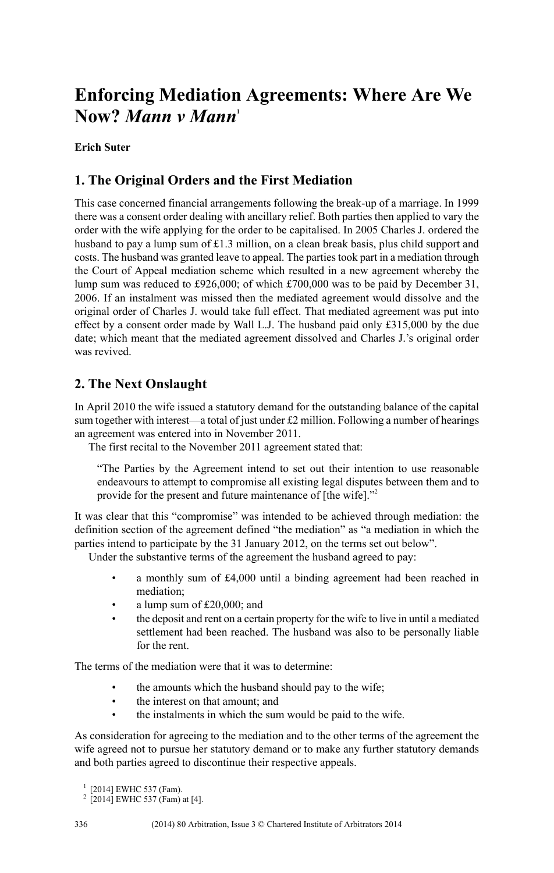# **Enforcing Mediation Agreements: Where Are We Now?** *Mann v Mann***<sup>1</sup>**

#### **Erich Suter**

#### **1. The Original Orders and the First Mediation**

This case concerned financial arrangements following the break-up of a marriage. In 1999 there was a consent order dealing with ancillary relief. Both parties then applied to vary the order with the wife applying for the order to be capitalised. In 2005 Charles J. ordered the husband to pay a lump sum of £1.3 million, on a clean break basis, plus child support and costs. The husband was granted leave to appeal. The partiestook part in a mediation through the Court of Appeal mediation scheme which resulted in a new agreement whereby the lump sum was reduced to £926,000; of which £700,000 was to be paid by December 31, 2006. If an instalment was missed then the mediated agreement would dissolve and the original order of Charles J. would take full effect. That mediated agreement was put into effect by a consent order made by Wall L.J. The husband paid only £315,000 by the due date; which meant that the mediated agreement dissolved and Charles J.'s original order was revived.

### **2. The Next Onslaught**

In April 2010 the wife issued a statutory demand for the outstanding balance of the capital sum together with interest—a total of just under £2 million. Following a number of hearings an agreement was entered into in November 2011.

The first recital to the November 2011 agreement stated that:

"The Parties by the Agreement intend to set out their intention to use reasonable endeavours to attempt to compromise all existing legal disputes between them and to provide for the present and future maintenance of [the wife]."<sup>2</sup>

It was clear that this "compromise" was intended to be achieved through mediation: the definition section of the agreement defined "the mediation" as "a mediation in which the parties intend to participate by the 31 January 2012, on the terms set out below".

Under the substantive terms of the agreement the husband agreed to pay:

- a monthly sum of £4,000 until a binding agreement had been reached in mediation;
- a lump sum of £20,000; and
- the deposit and rent on a certain property for the wife to live in until a mediated settlement had been reached. The husband was also to be personally liable for the rent.

The terms of the mediation were that it was to determine:

- the amounts which the husband should pay to the wife;
- the interest on that amount: and
- the instalments in which the sum would be paid to the wife.

As consideration for agreeing to the mediation and to the other terms of the agreement the wife agreed not to pursue her statutory demand or to make any further statutory demands and both parties agreed to discontinue their respective appeals.

<sup>&</sup>lt;sup>1</sup> [2014] EWHC 537 (Fam).

<sup>2</sup> [2014] EWHC 537 (Fam) at [4].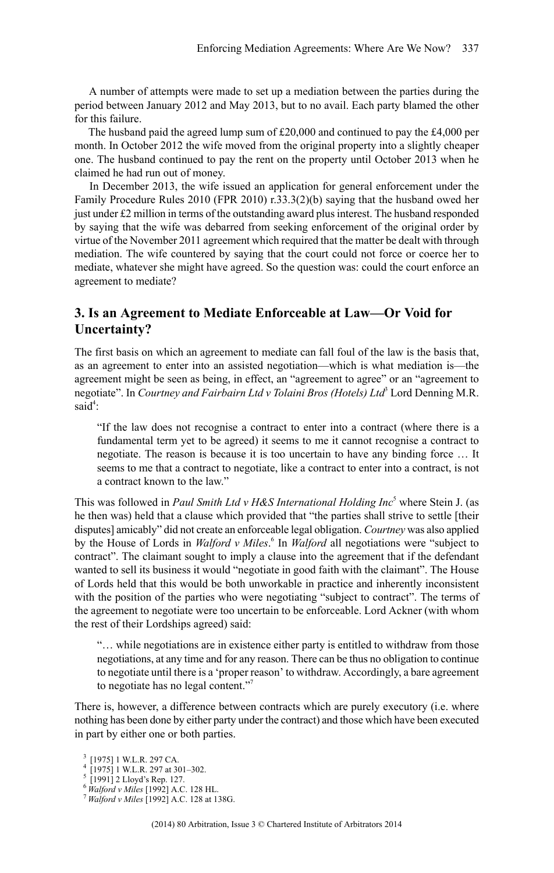A number of attempts were made to set up a mediation between the parties during the period between January 2012 and May 2013, but to no avail. Each party blamed the other for this failure.

The husband paid the agreed lump sum of £20,000 and continued to pay the £4,000 per month. In October 2012 the wife moved from the original property into a slightly cheaper one. The husband continued to pay the rent on the property until October 2013 when he claimed he had run out of money.

In December 2013, the wife issued an application for general enforcement under the Family Procedure Rules 2010 (FPR 2010) r.33.3(2)(b) saying that the husband owed her just under £2 million in terms of the outstanding award plus interest. The husband responded by saying that the wife was debarred from seeking enforcement of the original order by virtue of the November 2011 agreement which required that the matter be dealt with through mediation. The wife countered by saying that the court could not force or coerce her to mediate, whatever she might have agreed. So the question was: could the court enforce an agreement to mediate?

#### **3. Is an Agreement to Mediate Enforceable at Law—Or Void for Uncertainty?**

The first basis on which an agreement to mediate can fall foul of the law is the basis that, as an agreement to enter into an assisted negotiation—which is what mediation is—the agreement might be seen as being, in effect, an "agreement to agree" or an "agreement to negotiate". In *Courtney and Fairbairn Ltd v Tolaini Bros (Hotels) Ltd*<sup>3</sup> Lord Denning M.R. said<sup>4</sup>:

"If the law does not recognise a contract to enter into a contract (where there is a fundamental term yet to be agreed) it seems to me it cannot recognise a contract to negotiate. The reason is because it is too uncertain to have any binding force … It seems to me that a contract to negotiate, like a contract to enter into a contract, is not a contract known to the law."

This was followed in *Paul Smith Ltd v H&S International Holding Inc*<sup>5</sup> where Stein J. (as he then was) held that a clause which provided that "the parties shall strive to settle [their disputes] amicably" did not create an enforceable legal obligation. *Courtney* was also applied by the House of Lords in *Walford v Miles*. 6 In *Walford* all negotiations were "subject to contract". The claimant sought to imply a clause into the agreement that if the defendant wanted to sell its business it would "negotiate in good faith with the claimant". The House of Lords held that this would be both unworkable in practice and inherently inconsistent with the position of the parties who were negotiating "subject to contract". The terms of the agreement to negotiate were too uncertain to be enforceable. Lord Ackner (with whom the rest of their Lordships agreed) said:

"… while negotiations are in existence either party is entitled to withdraw from those negotiations, at any time and for any reason. There can be thus no obligation to continue to negotiate until there is a 'proper reason' to withdraw. Accordingly, a bare agreement to negotiate has no legal content."<sup>7</sup>

There is, however, a difference between contracts which are purely executory (i.e. where nothing has been done by either party under the contract) and those which have been executed in part by either one or both parties.

- 4 [1975] 1 W.L.R. 297 at 301–302. 5 [1991] 2 Lloyd's Rep. 127.
- 

<sup>3</sup> [1975] 1 W.L.R. 297 CA.

<sup>6</sup> *Walford v Miles* [1992] A.C. 128 HL.

<sup>7</sup> *Walford v Miles* [1992] A.C. 128 at 138G.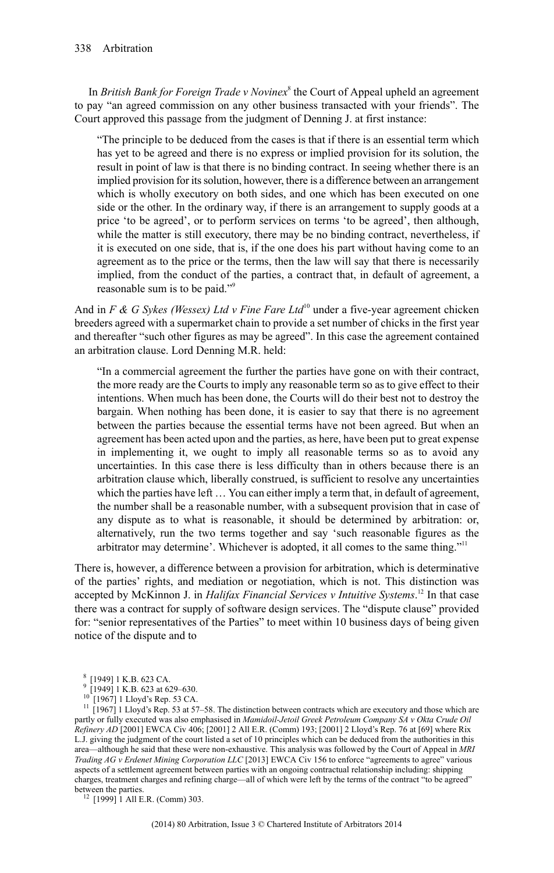In *British Bank for Foreign Trade v Novinex*<sup>8</sup> the Court of Appeal upheld an agreement to pay "an agreed commission on any other business transacted with your friends". The Court approved this passage from the judgment of Denning J. at first instance:

"The principle to be deduced from the cases is that if there is an essential term which has yet to be agreed and there is no express or implied provision for its solution, the result in point of law is that there is no binding contract. In seeing whether there is an implied provision for itssolution, however, there is a difference between an arrangement which is wholly executory on both sides, and one which has been executed on one side or the other. In the ordinary way, if there is an arrangement to supply goods at a price 'to be agreed', or to perform services on terms 'to be agreed', then although, while the matter is still executory, there may be no binding contract, nevertheless, if it is executed on one side, that is, if the one does his part without having come to an agreement as to the price or the terms, then the law will say that there is necessarily implied, from the conduct of the parties, a contract that, in default of agreement, a reasonable sum is to be paid."<sup>9</sup>

And in *F & G Sykes (Wessex) Ltd v Fine Fare Ltd*<sup>10</sup> under a five-year agreement chicken breeders agreed with a supermarket chain to provide a set number of chicks in the first year and thereafter "such other figures as may be agreed". In this case the agreement contained an arbitration clause. Lord Denning M.R. held:

"In a commercial agreement the further the parties have gone on with their contract, the more ready are the Courts to imply any reasonable term so as to give effect to their intentions. When much has been done, the Courts will do their best not to destroy the bargain. When nothing has been done, it is easier to say that there is no agreement between the parties because the essential terms have not been agreed. But when an agreement has been acted upon and the parties, as here, have been put to great expense in implementing it, we ought to imply all reasonable terms so as to avoid any uncertainties. In this case there is less difficulty than in others because there is an arbitration clause which, liberally construed, is sufficient to resolve any uncertainties which the parties have left ... You can either imply a term that, in default of agreement, the number shall be a reasonable number, with a subsequent provision that in case of any dispute as to what is reasonable, it should be determined by arbitration: or, alternatively, run the two terms together and say 'such reasonable figures as the arbitrator may determine'. Whichever is adopted, it all comes to the same thing."<sup>11</sup>

There is, however, a difference between a provision for arbitration, which is determinative of the parties' rights, and mediation or negotiation, which is not. This distinction was accepted by McKinnon J. in *Halifax Financial Services v Intuitive Systems*. <sup>12</sup> In that case there was a contract for supply of software design services. The "dispute clause" provided for: "senior representatives of the Parties" to meet within 10 business days of being given notice of the dispute and to

<sup>11</sup> [1967] 1 Lloyd's Rep. 53 at 57–58. The distinction between contracts which are executory and those which are partly or fully executed was also emphasised in *Mamidoil-Jetoil Greek Petroleum Company SA v Okta Crude Oil Refinery AD* [2001] EWCA Civ 406; [2001] 2 All E.R. (Comm) 193; [2001] 2 Lloyd's Rep. 76 at [69] where Rix L.J. giving the judgment of the court listed a set of 10 principles which can be deduced from the authorities in this area—although he said that these were non-exhaustive. This analysis was followed by the Court of Appeal in *MRI Trading AG v Erdenet Mining Corporation LLC* [2013] EWCA Civ 156 to enforce "agreements to agree" various aspects of a settlement agreement between parties with an ongoing contractual relationship including: shipping charges, treatment charges and refining charge—all of which were left by the terms of the contract "to be agreed" between the parties.

 $12$  [1999] 1 All E.R. (Comm) 303.

<sup>8 [1949] 1</sup> K.B. 623 CA.

<sup>&</sup>lt;sup>8</sup> [1949] 1 K.B. 623 CA.<br><sup>9</sup> [1949] 1 K.B. 623 at 629–630.

<sup>[1967] 1</sup> Lloyd's Rep. 53 CA.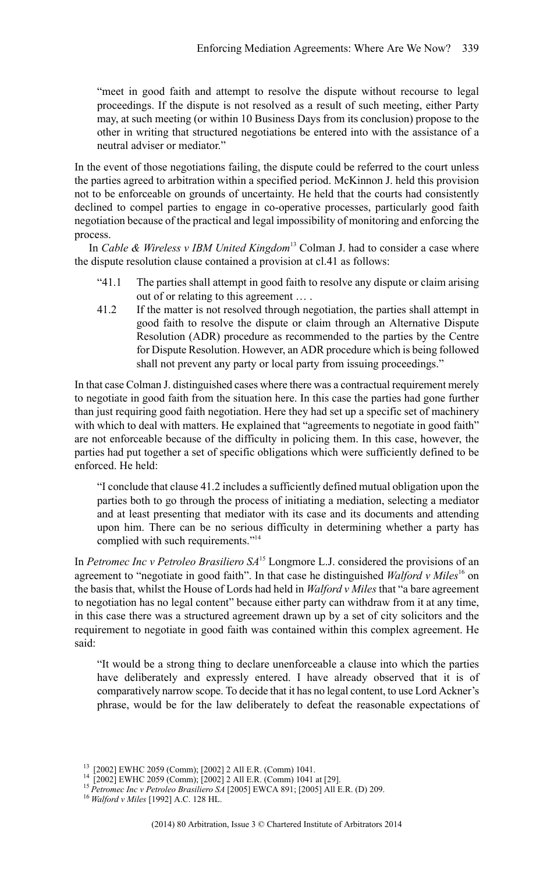"meet in good faith and attempt to resolve the dispute without recourse to legal proceedings. If the dispute is not resolved as a result of such meeting, either Party may, at such meeting (or within 10 Business Days from its conclusion) propose to the other in writing that structured negotiations be entered into with the assistance of a neutral adviser or mediator."

In the event of those negotiations failing, the dispute could be referred to the court unless the parties agreed to arbitration within a specified period. McKinnon J. held this provision not to be enforceable on grounds of uncertainty. He held that the courts had consistently declined to compel parties to engage in co-operative processes, particularly good faith negotiation because of the practical and legal impossibility of monitoring and enforcing the process.

In *Cable & Wireless v IBM United Kingdom*<sup>13</sup> Colman J. had to consider a case where the dispute resolution clause contained a provision at cl.41 as follows:

- "41.1 The parties shall attempt in good faith to resolve any dispute or claim arising out of or relating to this agreement … .
- 41.2 If the matter is not resolved through negotiation, the parties shall attempt in good faith to resolve the dispute or claim through an Alternative Dispute Resolution (ADR) procedure as recommended to the parties by the Centre for Dispute Resolution. However, an ADR procedure which is being followed shall not prevent any party or local party from issuing proceedings."

In that case Colman J. distinguished cases where there was a contractual requirement merely to negotiate in good faith from the situation here. In this case the parties had gone further than just requiring good faith negotiation. Here they had set up a specific set of machinery with which to deal with matters. He explained that "agreements to negotiate in good faith" are not enforceable because of the difficulty in policing them. In this case, however, the parties had put together a set of specific obligations which were sufficiently defined to be enforced. He held:

"I conclude that clause 41.2 includes a sufficiently defined mutual obligation upon the parties both to go through the process of initiating a mediation, selecting a mediator and at least presenting that mediator with its case and its documents and attending upon him. There can be no serious difficulty in determining whether a party has complied with such requirements."<sup>14</sup>

In *Petromec Inc v Petroleo Brasiliero SA*<sup>15</sup> Longmore L.J. considered the provisions of an agreement to "negotiate in good faith". In that case he distinguished *Walford v Miles*<sup>16</sup> on the basis that, whilst the House of Lords had held in *Walford v Miles* that "a bare agreement to negotiation has no legal content" because either party can withdraw from it at any time, in this case there was a structured agreement drawn up by a set of city solicitors and the requirement to negotiate in good faith was contained within this complex agreement. He said:

"It would be a strong thing to declare unenforceable a clause into which the parties have deliberately and expressly entered. I have already observed that it is of comparatively narrow scope. To decide that it has no legal content, to use Lord Ackner's phrase, would be for the law deliberately to defeat the reasonable expectations of

<sup>13</sup> [2002] EWHC 2059 (Comm); [2002] 2 All E.R. (Comm) 1041. <sup>14</sup> [2002] EWHC 2059 (Comm); [2002] 2 All E.R. (Comm) 1041 at [29].

<sup>15</sup> *Petromec Inc v Petroleo Brasiliero SA* [2005] EWCA 891; [2005] All E.R. (D) 209.

<sup>16</sup> *Walford v Miles* [1992] A.C. 128 HL.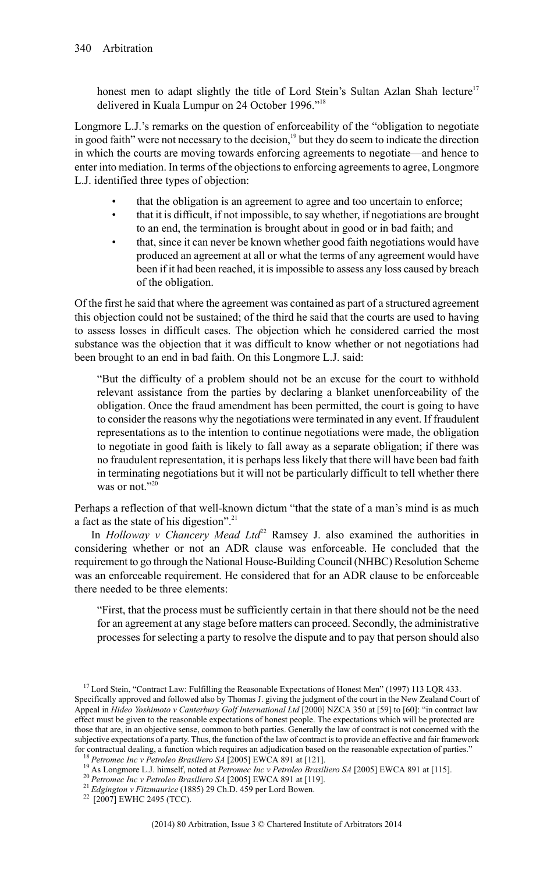honest men to adapt slightly the title of Lord Stein's Sultan Azlan Shah lecture<sup>17</sup> delivered in Kuala Lumpur on 24 October 1996."<sup>18</sup>

Longmore L.J.'s remarks on the question of enforceability of the "obligation to negotiate in good faith" were not necessary to the decision,<sup>19</sup> but they do seem to indicate the direction in which the courts are moving towards enforcing agreements to negotiate—and hence to enter into mediation. In terms of the objections to enforcing agreements to agree, Longmore L.J. identified three types of objection:

- that the obligation is an agreement to agree and too uncertain to enforce;<br>that it is difficult, if not impossible, to say whether, if negotiations are brought
- that it is difficult, if not impossible, to say whether, if negotiations are brought to an end, the termination is brought about in good or in bad faith; and
- that, since it can never be known whether good faith negotiations would have produced an agreement at all or what the terms of any agreement would have been if it had been reached, it isimpossible to assess any loss caused by breach of the obligation.

Of the first he said that where the agreement was contained as part of a structured agreement this objection could not be sustained; of the third he said that the courts are used to having to assess losses in difficult cases. The objection which he considered carried the most substance was the objection that it was difficult to know whether or not negotiations had been brought to an end in bad faith. On this Longmore L.J. said:

"But the difficulty of a problem should not be an excuse for the court to withhold relevant assistance from the parties by declaring a blanket unenforceability of the obligation. Once the fraud amendment has been permitted, the court is going to have to consider the reasons why the negotiations were terminated in any event. If fraudulent representations as to the intention to continue negotiations were made, the obligation to negotiate in good faith is likely to fall away as a separate obligation; if there was no fraudulent representation, it is perhaps less likely that there will have been bad faith in terminating negotiations but it will not be particularly difficult to tell whether there was or not." $2<sup>(2)</sup>$ 

Perhaps a reflection of that well-known dictum "that the state of a man's mind is as much a fact as the state of his digestion".<sup>21</sup>

In *Holloway v Chancery Mead Ltd*<sup>22</sup> Ramsey J. also examined the authorities in considering whether or not an ADR clause was enforceable. He concluded that the requirement to go through the National House-Building Council (NHBC) Resolution Scheme was an enforceable requirement. He considered that for an ADR clause to be enforceable there needed to be three elements:

"First, that the process must be sufficiently certain in that there should not be the need for an agreement at any stage before matters can proceed. Secondly, the administrative processes for selecting a party to resolve the dispute and to pay that person should also

<sup>&</sup>lt;sup>17</sup> Lord Stein, "Contract Law: Fulfilling the Reasonable Expectations of Honest Men" (1997) 113 LQR 433. Specifically approved and followed also by Thomas J. giving the judgment of the court in the New Zealand Court of Appeal in *Hideo Yoshimoto v Canterbury Golf International Ltd* [2000] NZCA 350 at [59] to [60]: "in contract law effect must be given to the reasonable expectations of honest people. The expectations which will be protected are those that are, in an objective sense, common to both parties. Generally the law of contract is not concerned with the subjective expectations of a party. Thus, the function of the law of contract isto provide an effective and fair framework for contractual dealing, a function which requires an adjudication based on the reasonable expectation of parties."

<sup>18</sup> *Petromec Inc v Petroleo Brasiliero SA* [2005] EWCA 891 at [121].

<sup>19</sup> As Longmore L.J. himself, noted at *Petromec Inc v Petroleo Brasiliero SA* [2005] EWCA 891 at [115].

<sup>20</sup> *Petromec Inc v Petroleo Brasiliero SA* [2005] EWCA 891 at [119].

<sup>21</sup> *Edgington v Fitzmaurice* (1885) 29 Ch.D. 459 per Lord Bowen.

<sup>&</sup>lt;sup>22</sup> [2007] EWHC 2495 (TCC).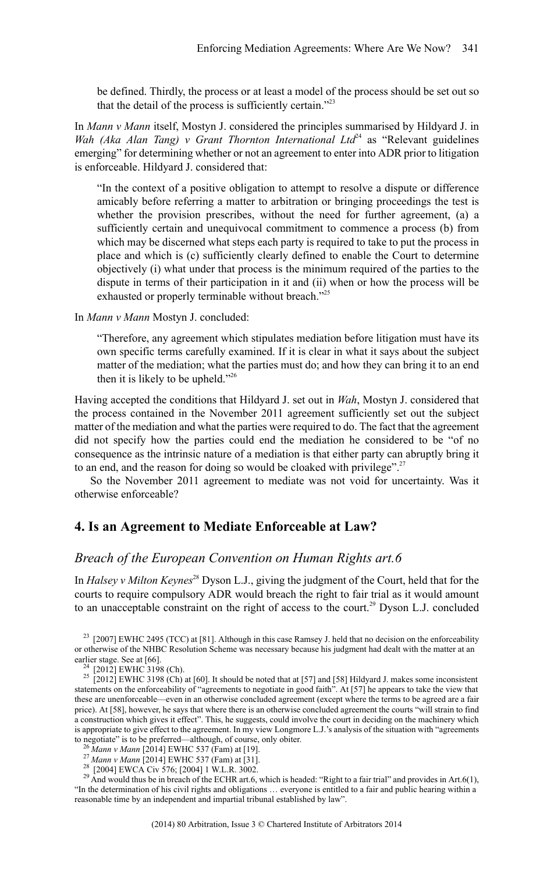be defined. Thirdly, the process or at least a model of the process should be set out so that the detail of the process is sufficiently certain."<sup>23</sup>

In *Mann v Mann* itself, Mostyn J. considered the principles summarised by Hildyard J. in *Wah (Aka Alan Tang) v Grant Thornton International Ltd*<sup>24</sup> as "Relevant guidelines emerging" for determining whether or not an agreement to enter into ADR prior to litigation is enforceable. Hildyard J. considered that:

"In the context of a positive obligation to attempt to resolve a dispute or difference amicably before referring a matter to arbitration or bringing proceedings the test is whether the provision prescribes, without the need for further agreement, (a) a sufficiently certain and unequivocal commitment to commence a process (b) from which may be discerned what steps each party is required to take to put the process in place and which is (c) sufficiently clearly defined to enable the Court to determine objectively (i) what under that process is the minimum required of the parties to the dispute in terms of their participation in it and (ii) when or how the process will be exhausted or properly terminable without breach."<sup>25</sup>

In *Mann v Mann* Mostyn J. concluded:

"Therefore, any agreement which stipulates mediation before litigation must have its own specific terms carefully examined. If it is clear in what it says about the subject matter of the mediation; what the parties must do; and how they can bring it to an end then it is likely to be upheld."<sup>26</sup>

Having accepted the conditions that Hildyard J. set out in *Wah*, Mostyn J. considered that the process contained in the November 2011 agreement sufficiently set out the subject matter of the mediation and what the parties were required to do. The fact that the agreement did not specify how the parties could end the mediation he considered to be "of no consequence as the intrinsic nature of a mediation is that either party can abruptly bring it to an end, and the reason for doing so would be cloaked with privilege".<sup>27</sup>

So the November 2011 agreement to mediate was not void for uncertainty. Was it otherwise enforceable?

#### **4. Is an Agreement to Mediate Enforceable at Law?**

#### *Breach of the European Convention on Human Rights art.6*

In *Halsey v Milton Keynes*<sup>28</sup> Dyson L.J., giving the judgment of the Court, held that for the courts to require compulsory ADR would breach the right to fair trial as it would amount to an unacceptable constraint on the right of access to the court.<sup>29</sup> Dyson L.J. concluded

<sup>23</sup> [2007] EWHC 2495 (TCC) at [81]. Although in this case Ramsey J. held that no decision on the enforceability or otherwise of the NHBC Resolution Scheme was necessary because his judgment had dealt with the matter at an earlier stage. See at [66].

[2012] EWHC 3198 (Ch).

 $25\left[2012\right]$  EWHC 3198 (Ch) at [60]. It should be noted that at [57] and [58] Hildyard J. makes some inconsistent statements on the enforceability of "agreements to negotiate in good faith". At [57] he appears to take the view that these are unenforceable—even in an otherwise concluded agreement (except where the terms to be agreed are a fair price). At [58], however, he says that where there is an otherwise concluded agreement the courts "will strain to find a construction which gives it effect". This, he suggests, could involve the court in deciding on the machinery which is appropriate to give effect to the agreement. In my view Longmore L.J.'s analysis of the situation with "agreements to negotiate" is to be preferred—although, of course, only obiter.

<sup>26</sup> *Mann v Mann* [2014] EWHC 537 (Fam) at [19].

<sup>27</sup> *Mann v Mann* [2014] EWHC 537 (Fam) at [31].

<sup>28</sup> [2004] EWCA Civ 576; [2004] 1 W.L.R. 3002.<br><sup>29</sup> And would thus be in breach of the ECHR art.6, which is headed: "Right to a fair trial" and provides in Art.6(1), "In the determination of his civil rights and obligations … everyone is entitled to a fair and public hearing within a reasonable time by an independent and impartial tribunal established by law".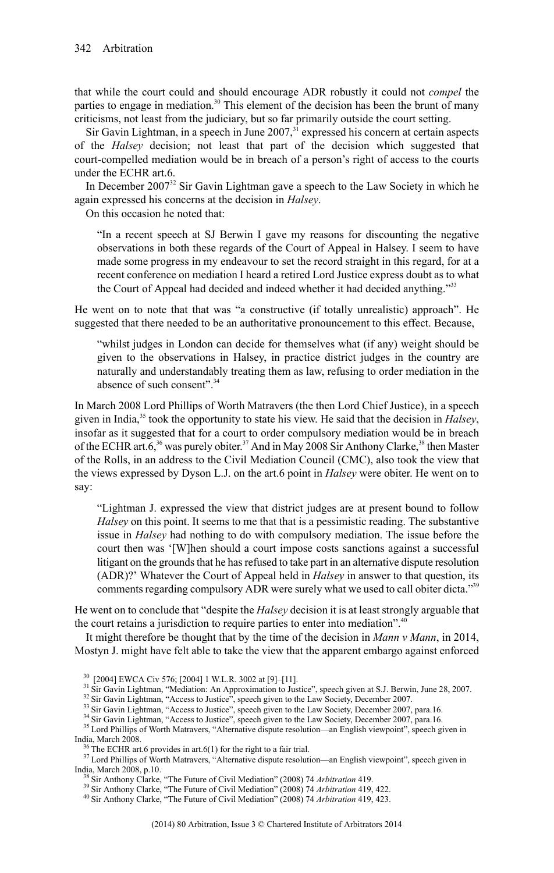that while the court could and should encourage ADR robustly it could not *compel* the parties to engage in mediation.<sup>30</sup> This element of the decision has been the brunt of many criticisms, not least from the judiciary, but so far primarily outside the court setting.

Sir Gavin Lightman, in a speech in June  $2007$ ,<sup>31</sup> expressed his concern at certain aspects of the *Halsey* decision; not least that part of the decision which suggested that court-compelled mediation would be in breach of a person's right of access to the courts under the ECHR art.6.

In December 2007<sup>32</sup> Sir Gavin Lightman gave a speech to the Law Society in which he again expressed his concerns at the decision in *Halsey*.

On this occasion he noted that:

"In a recent speech at SJ Berwin I gave my reasons for discounting the negative observations in both these regards of the Court of Appeal in Halsey. I seem to have made some progress in my endeavour to set the record straight in this regard, for at a recent conference on mediation I heard a retired Lord Justice express doubt as to what the Court of Appeal had decided and indeed whether it had decided anything."<sup>33</sup>

He went on to note that that was "a constructive (if totally unrealistic) approach". He suggested that there needed to be an authoritative pronouncement to this effect. Because,

"whilst judges in London can decide for themselves what (if any) weight should be given to the observations in Halsey, in practice district judges in the country are naturally and understandably treating them as law, refusing to order mediation in the absence of such consent".<sup>34</sup>

In March 2008 Lord Phillips of Worth Matravers (the then Lord Chief Justice), in a speech given in India,<sup>35</sup> took the opportunity to state his view. He said that the decision in *Halsey*, insofar as it suggested that for a court to order compulsory mediation would be in breach of the ECHR art.6,<sup>36</sup> was purely obiter.<sup>37</sup> And in May 2008 Sir Anthony Clarke,<sup>38</sup> then Master of the Rolls, in an address to the Civil Mediation Council (CMC), also took the view that the views expressed by Dyson L.J. on the art.6 point in *Halsey* were obiter. He went on to say:

"Lightman J. expressed the view that district judges are at present bound to follow *Halsey* on this point. It seems to me that that is a pessimistic reading. The substantive issue in *Halsey* had nothing to do with compulsory mediation. The issue before the court then was '[W]hen should a court impose costs sanctions against a successful litigant on the grounds that he has refused to take part in an alternative dispute resolution (ADR)?' Whatever the Court of Appeal held in *Halsey* in answer to that question, its comments regarding compulsory ADR were surely what we used to call obiter dicta."39

He went on to conclude that "despite the *Halsey* decision it is at least strongly arguable that the court retains a jurisdiction to require parties to enter into mediation".<sup>40</sup>

It might therefore be thought that by the time of the decision in *Mann v Mann*, in 2014, Mostyn J. might have felt able to take the view that the apparent embargo against enforced

<sup>30</sup> [2004] EWCA Civ 576; [2004] 1 W.L.R. 3002 at [9]–[11].

<sup>&</sup>lt;sup>31</sup> Sir Gavin Lightman, "Mediation: An Approximation to Justice", speech given at S.J. Berwin, June 28, 2007.

<sup>&</sup>lt;sup>32</sup> Sir Gavin Lightman, "Access to Justice", speech given to the Law Society, December 2007.<br><sup>33</sup> Sir Gavin Lightman, "Access to Justice", speech given to the Law Society, December 2007, para.16.<br><sup>34</sup> Sir Gavin Lightman,

<sup>&</sup>lt;sup>35</sup> Lord Phillips of Worth Matravers, "Alternative dispute resolution—an English viewpoint", speech given in India, March 2008.

The ECHR art.6 provides in art.6(1) for the right to a fair trial.

<sup>&</sup>lt;sup>37</sup> Lord Phillips of Worth Matravers, "Alternative dispute resolution—an English viewpoint", speech given in India, March 2008, p.10.

<sup>38</sup> Sir Anthony Clarke, "The Future of Civil Mediation" (2008) 74 *Arbitration* 419.

<sup>39</sup> Sir Anthony Clarke, "The Future of Civil Mediation" (2008) 74 *Arbitration* 419, 422.

<sup>40</sup> Sir Anthony Clarke, "The Future of Civil Mediation" (2008) 74 *Arbitration* 419, 423.